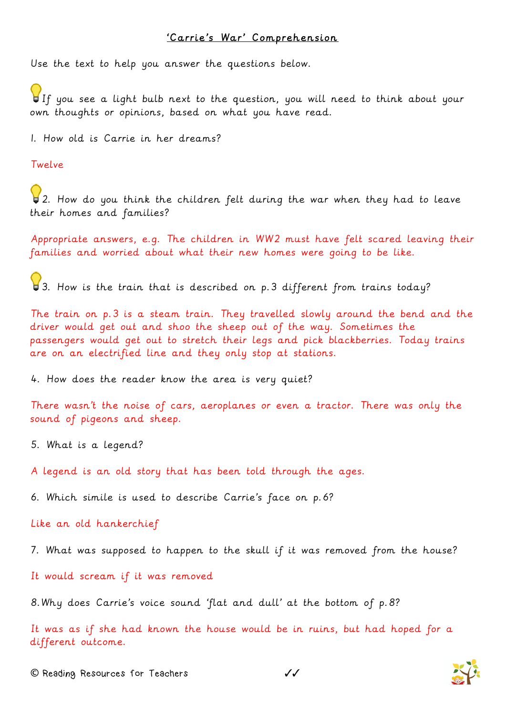## 'Carrie's War' Comprehension

Use the text to help you answer the questions below.

If you see a light bulb next to the question, you will need to think about your own thoughts or opinions, based on what you have read.

1. How old is Carrie in her dreams?

Twelve

2. How do you think the children felt during the war when they had to leave their homes and families?

Appropriate answers, e.g. The children in WW2 must have felt scared leaving their families and worried about what their new homes were going to be like.

3. How is the train that is described on p.3 different from trains today?

The train on p.3 is a steam train. They travelled slowly around the bend and the driver would get out and shoo the sheep out of the way. Sometimes the passengers would get out to stretch their legs and pick blackberries. Today trains are on an electrified line and they only stop at stations.

4. How does the reader know the area is very quiet?

There wasn't the noise of cars, aeroplanes or even a tractor. There was only the sound of pigeons and sheep.

5. What is a legend?

A legend is an old story that has been told through the ages.

6. Which simile is used to describe Carrie's face on p.6?

Like an old hankerchief

7. What was supposed to happen to the skull if it was removed from the house?

It would scream if it was removed

8.Why does Carrie's voice sound 'flat and dull' at the bottom of p.8?

It was as if she had known the house would be in ruins, but had hoped for a different outcome.